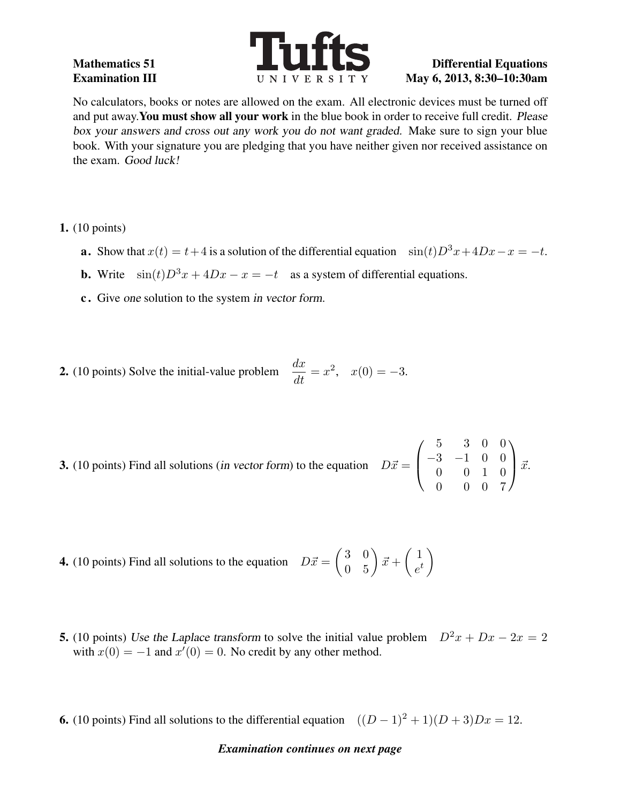

# Examination III UNIVERSITY May 6, 2013, 8:30-10:30am

No calculators, books or notes are allowed on the exam. All electronic devices must be turned off and put away.You must show all your work in the blue book in order to receive full credit. Please box your answers and cross out any work you do not want graded. Make sure to sign your blue book. With your signature you are pledging that you have neither given nor received assistance on the exam. Good luck!

- 1. (10 points)
	- **a.** Show that  $x(t) = t+4$  is a solution of the differential equation  $\sin(t)D^3x+4Dx-x = -t$ .
	- **b.** Write  $\sin(t)D^3x + 4Dx x = -t$  as a system of differential equations.
	- c . Give one solution to the system in vector form.

**2.** (10 points) Solve the initial-value problem 
$$
\frac{dx}{dt} = x^2
$$
,  $x(0) = -3$ .

- **3.** (10 points) Find all solutions (*in vector form*) to the equation  $D\vec{x} =$  $\sqrt{ }$  $\left\lfloor \right\rfloor$ 5 3 0 0 −3 −1 0 0 0 0 1 0 0 0 0 7  $\setminus$  $\int \vec{x}$ .
- **4.** (10 points) Find all solutions to the equation  $D\vec{x} = \begin{pmatrix} 3 & 0 \\ 0 & 5 \end{pmatrix} \vec{x} + \begin{pmatrix} 1 \\ e^t \end{pmatrix}$  $e^t$  $\setminus$
- **5.** (10 points) Use the Laplace transform to solve the initial value problem  $D^2x + Dx 2x = 2$ with  $x(0) = -1$  and  $x'(0) = 0$ . No credit by any other method.
- **6.** (10 points) Find all solutions to the differential equation  $((D-1)^2+1)(D+3)Dx = 12$ .

### *Examination continues on next page*